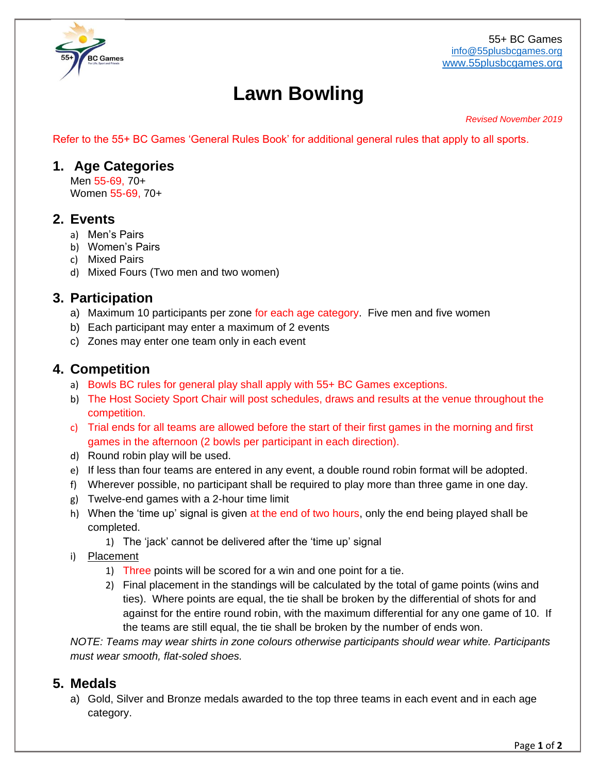

# **Lawn Bowling**

#### *Revised November 2019*

Refer to the 55+ BC Games 'General Rules Book' for additional general rules that apply to all sports.

#### **1. Age Categories**

Men 55-69, 70+ Women 55-69, 70+

#### **2. Events**

- a) Men's Pairs
- b) Women's Pairs
- c) Mixed Pairs
- d) Mixed Fours (Two men and two women)

### **3. Participation**

- a) Maximum 10 participants per zone for each age category. Five men and five women
- b) Each participant may enter a maximum of 2 events
- c) Zones may enter one team only in each event

### **4. Competition**

- a) Bowls BC rules for general play shall apply with 55+ BC Games exceptions.
- b) The Host Society Sport Chair will post schedules, draws and results at the venue throughout the competition.
- c) Trial ends for all teams are allowed before the start of their first games in the morning and first games in the afternoon (2 bowls per participant in each direction).
- d) Round robin play will be used.
- e) If less than four teams are entered in any event, a double round robin format will be adopted.
- f) Wherever possible, no participant shall be required to play more than three game in one day.
- g) Twelve-end games with a 2-hour time limit
- h) When the 'time up' signal is given at the end of two hours, only the end being played shall be completed.
	- 1) The 'jack' cannot be delivered after the 'time up' signal
- i) Placement
	- 1) Three points will be scored for a win and one point for a tie.
	- 2) Final placement in the standings will be calculated by the total of game points (wins and ties). Where points are equal, the tie shall be broken by the differential of shots for and against for the entire round robin, with the maximum differential for any one game of 10. If the teams are still equal, the tie shall be broken by the number of ends won.

*NOTE: Teams may wear shirts in zone colours otherwise participants should wear white. Participants must wear smooth, flat-soled shoes.*

#### **5. Medals**

a) Gold, Silver and Bronze medals awarded to the top three teams in each event and in each age category.